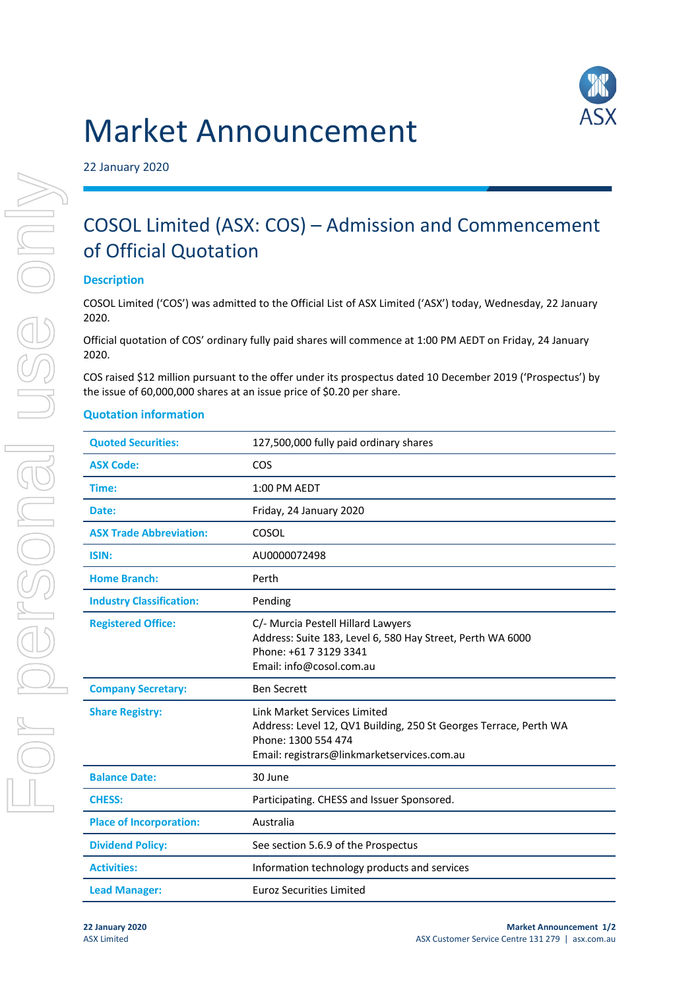# Market Announcement



22 January 2020

## COSOL Limited (ASX: COS) – Admission and Commencement of Official Quotation

#### **Description**

COSOL Limited ('COS') was admitted to the Official List of ASX Limited ('ASX') today, Wednesday, 22 January 2020.

Official quotation of COS' ordinary fully paid shares will commence at 1:00 PM AEDT on Friday, 24 January 2020.

COS raised \$12 million pursuant to the offer under its prospectus dated 10 December 2019 ('Prospectus') by the issue of 60,000,000 shares at an issue price of \$0.20 per share.

#### **Quotation information**

| <b>Quoted Securities:</b>       | 127,500,000 fully paid ordinary shares                                                                                                                                  |
|---------------------------------|-------------------------------------------------------------------------------------------------------------------------------------------------------------------------|
| <b>ASX Code:</b>                | COS                                                                                                                                                                     |
| Time:                           | 1:00 PM AEDT                                                                                                                                                            |
| Date:                           | Friday, 24 January 2020                                                                                                                                                 |
| <b>ASX Trade Abbreviation:</b>  | COSOL                                                                                                                                                                   |
| ISIN:                           | AU0000072498                                                                                                                                                            |
| <b>Home Branch:</b>             | Perth                                                                                                                                                                   |
| <b>Industry Classification:</b> | Pending                                                                                                                                                                 |
| <b>Registered Office:</b>       | C/- Murcia Pestell Hillard Lawyers<br>Address: Suite 183, Level 6, 580 Hay Street, Perth WA 6000<br>Phone: +61 7 3129 3341<br>Email: info@cosol.com.au                  |
| <b>Company Secretary:</b>       | <b>Ben Secrett</b>                                                                                                                                                      |
| <b>Share Registry:</b>          | Link Market Services Limited<br>Address: Level 12, QV1 Building, 250 St Georges Terrace, Perth WA<br>Phone: 1300 554 474<br>Email: registrars@linkmarketservices.com.au |
| <b>Balance Date:</b>            | 30 June                                                                                                                                                                 |
| <b>CHESS:</b>                   | Participating. CHESS and Issuer Sponsored.                                                                                                                              |
| <b>Place of Incorporation:</b>  | Australia                                                                                                                                                               |
| <b>Dividend Policy:</b>         | See section 5.6.9 of the Prospectus                                                                                                                                     |
| <b>Activities:</b>              | Information technology products and services                                                                                                                            |
| <b>Lead Manager:</b>            | <b>Euroz Securities Limited</b>                                                                                                                                         |